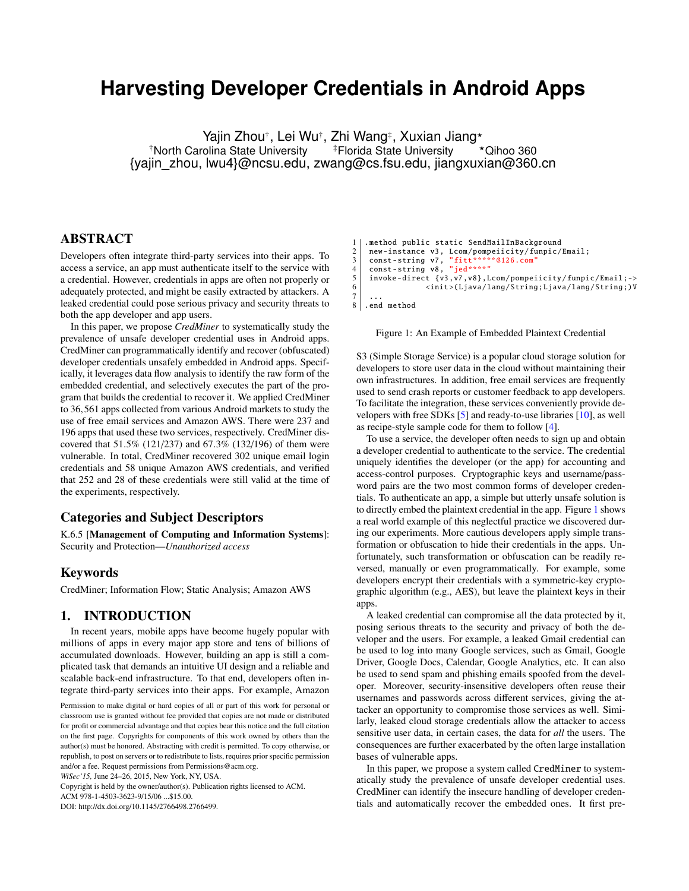# <span id="page-0-1"></span>**Harvesting Developer Credentials in Android Apps**

Yajin Zhou†, Lei Wu†, Zhi Wang‡, Xuxian Jiang\* <sup>†</sup>North Carolina State University <sup>#</sup>Florida State University \*Qihoo 360 {yajin\_zhou, lwu4}@ncsu.edu, zwang@cs.fsu.edu, jiangxuxian@360.cn

# ABSTRACT

Developers often integrate third-party services into their apps. To access a service, an app must authenticate itself to the service with a credential. However, credentials in apps are often not properly or adequately protected, and might be easily extracted by attackers. A leaked credential could pose serious privacy and security threats to both the app developer and app users.

In this paper, we propose *CredMiner* to systematically study the prevalence of unsafe developer credential uses in Android apps. CredMiner can programmatically identify and recover (obfuscated) developer credentials unsafely embedded in Android apps. Specifically, it leverages data flow analysis to identify the raw form of the embedded credential, and selectively executes the part of the program that builds the credential to recover it. We applied CredMiner to 36,561 apps collected from various Android markets to study the use of free email services and Amazon AWS. There were 237 and 196 apps that used these two services, respectively. CredMiner discovered that 51.5% (121/237) and 67.3% (132/196) of them were vulnerable. In total, CredMiner recovered 302 unique email login credentials and 58 unique Amazon AWS credentials, and verified that 252 and 28 of these credentials were still valid at the time of the experiments, respectively.

#### Categories and Subject Descriptors

K.6.5 [Management of Computing and Information Systems]: Security and Protection—*Unauthorized access*

#### Keywords

CredMiner; Information Flow; Static Analysis; Amazon AWS

# 1. INTRODUCTION

In recent years, mobile apps have become hugely popular with millions of apps in every major app store and tens of billions of accumulated downloads. However, building an app is still a complicated task that demands an intuitive UI design and a reliable and scalable back-end infrastructure. To that end, developers often integrate third-party services into their apps. For example, Amazon

Copyright is held by the owner/author(s). Publication rights licensed to ACM.

ACM 978-1-4503-3623-9/15/06 ...\$15.00.

DOI: http://dx.doi.org/10.1145/2766498.2766499.

```
1 .method public static SendMailInBackground<br>2 .mew-instance v3. Lcom/nomneiicity/funnic/
2 new-instance v3, Lcom/pompeiicity/funpic/Email;<br>3 const-string v7, "fitt*****@126.com"
3 const -string v7 , "fitt ***** @126.com"
4 const -string v8 , "jed ****"
5 invoke-direct {v3,v7,v8},Lcom/pompeiicity/funpic/Email;-><br>6 init>(Ljava/lang/String;Ljava/lang/String;)V
                          6 <init >( Ljava/lang/String;Ljava/lang/String ;)V
7
8 .end method
```
#### Figure 1: An Example of Embedded Plaintext Credential

S3 (Simple Storage Service) is a popular cloud storage solution for developers to store user data in the cloud without maintaining their own infrastructures. In addition, free email services are frequently used to send crash reports or customer feedback to app developers. To facilitate the integration, these services conveniently provide developers with free SDKs [\[5\]](#page-10-0) and ready-to-use libraries [\[10\]](#page-10-1), as well as recipe-style sample code for them to follow [\[4\]](#page-10-2).

To use a service, the developer often needs to sign up and obtain a developer credential to authenticate to the service. The credential uniquely identifies the developer (or the app) for accounting and access-control purposes. Cryptographic keys and username/password pairs are the two most common forms of developer credentials. To authenticate an app, a simple but utterly unsafe solution is to directly embed the plaintext credential in the app. Figure [1](#page-0-0) shows a real world example of this neglectful practice we discovered during our experiments. More cautious developers apply simple transformation or obfuscation to hide their credentials in the apps. Unfortunately, such transformation or obfuscation can be readily reversed, manually or even programmatically. For example, some developers encrypt their credentials with a symmetric-key cryptographic algorithm (e.g., AES), but leave the plaintext keys in their apps.

A leaked credential can compromise all the data protected by it, posing serious threats to the security and privacy of both the developer and the users. For example, a leaked Gmail credential can be used to log into many Google services, such as Gmail, Google Driver, Google Docs, Calendar, Google Analytics, etc. It can also be used to send spam and phishing emails spoofed from the developer. Moreover, security-insensitive developers often reuse their usernames and passwords across different services, giving the attacker an opportunity to compromise those services as well. Similarly, leaked cloud storage credentials allow the attacker to access sensitive user data, in certain cases, the data for *all* the users. The consequences are further exacerbated by the often large installation bases of vulnerable apps.

In this paper, we propose a system called CredMiner to systematically study the prevalence of unsafe developer credential uses. CredMiner can identify the insecure handling of developer credentials and automatically recover the embedded ones. It first pre-

Permission to make digital or hard copies of all or part of this work for personal or classroom use is granted without fee provided that copies are not made or distributed for profit or commercial advantage and that copies bear this notice and the full citation on the first page. Copyrights for components of this work owned by others than the author(s) must be honored. Abstracting with credit is permitted. To copy otherwise, or republish, to post on servers or to redistribute to lists, requires prior specific permission and/or a fee. Request permissions from Permissions@acm.org.

*WiSec'15,* June 24–26, 2015, New York, NY, USA.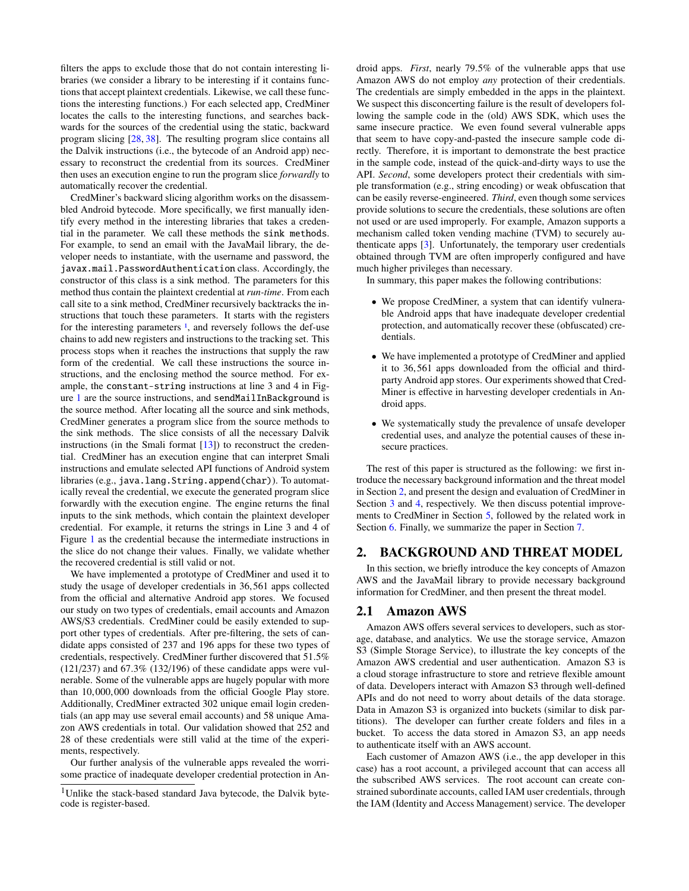filters the apps to exclude those that do not contain interesting libraries (we consider a library to be interesting if it contains functions that accept plaintext credentials. Likewise, we call these functions the interesting functions.) For each selected app, CredMiner locates the calls to the interesting functions, and searches backwards for the sources of the credential using the static, backward program slicing [\[28,](#page-11-0) [38\]](#page-11-1). The resulting program slice contains all the Dalvik instructions (i.e., the bytecode of an Android app) necessary to reconstruct the credential from its sources. CredMiner then uses an execution engine to run the program slice *forwardly* to automatically recover the credential.

CredMiner's backward slicing algorithm works on the disassembled Android bytecode. More specifically, we first manually identify every method in the interesting libraries that takes a credential in the parameter. We call these methods the sink methods. For example, to send an email with the JavaMail library, the developer needs to instantiate, with the username and password, the javax.mail.PasswordAuthentication class. Accordingly, the constructor of this class is a sink method. The parameters for this method thus contain the plaintext credential at *run-time*. From each call site to a sink method, CredMiner recursively backtracks the instructions that touch these parameters. It starts with the registers for the interesting parameters <sup>1</sup>[,](#page-0-1) and reversely follows the def-use chains to add new registers and instructions to the tracking set. This process stops when it reaches the instructions that supply the raw form of the credential. We call these instructions the source instructions, and the enclosing method the source method. For example, the constant-string instructions at line 3 and 4 in Figure [1](#page-0-0) are the source instructions, and sendMailInBackground is the source method. After locating all the source and sink methods, CredMiner generates a program slice from the source methods to the sink methods. The slice consists of all the necessary Dalvik instructions (in the Smali format  $[13]$ ) to reconstruct the credential. CredMiner has an execution engine that can interpret Smali instructions and emulate selected API functions of Android system libraries (e.g., java.lang.String.append(char)). To automatically reveal the credential, we execute the generated program slice forwardly with the execution engine. The engine returns the final inputs to the sink methods, which contain the plaintext developer credential. For example, it returns the strings in Line 3 and 4 of Figure [1](#page-0-0) as the credential because the intermediate instructions in the slice do not change their values. Finally, we validate whether the recovered credential is still valid or not.

We have implemented a prototype of CredMiner and used it to study the usage of developer credentials in 36,561 apps collected from the official and alternative Android app stores. We focused our study on two types of credentials, email accounts and Amazon AWS/S3 credentials. CredMiner could be easily extended to support other types of credentials. After pre-filtering, the sets of candidate apps consisted of 237 and 196 apps for these two types of credentials, respectively. CredMiner further discovered that 51.5% (121/237) and 67.3% (132/196) of these candidate apps were vulnerable. Some of the vulnerable apps are hugely popular with more than 10,000,000 downloads from the official Google Play store. Additionally, CredMiner extracted 302 unique email login credentials (an app may use several email accounts) and 58 unique Amazon AWS credentials in total. Our validation showed that 252 and 28 of these credentials were still valid at the time of the experiments, respectively.

Our further analysis of the vulnerable apps revealed the worrisome practice of inadequate developer credential protection in Android apps. *First*, nearly 79.5% of the vulnerable apps that use Amazon AWS do not employ *any* protection of their credentials. The credentials are simply embedded in the apps in the plaintext. We suspect this disconcerting failure is the result of developers following the sample code in the (old) AWS SDK, which uses the same insecure practice. We even found several vulnerable apps that seem to have copy-and-pasted the insecure sample code directly. Therefore, it is important to demonstrate the best practice in the sample code, instead of the quick-and-dirty ways to use the API. *Second*, some developers protect their credentials with simple transformation (e.g., string encoding) or weak obfuscation that can be easily reverse-engineered. *Third*, even though some services provide solutions to secure the credentials, these solutions are often not used or are used improperly. For example, Amazon supports a mechanism called token vending machine (TVM) to securely authenticate apps [\[3\]](#page-10-4). Unfortunately, the temporary user credentials obtained through TVM are often improperly configured and have much higher privileges than necessary.

In summary, this paper makes the following contributions:

- We propose CredMiner, a system that can identify vulnerable Android apps that have inadequate developer credential protection, and automatically recover these (obfuscated) credentials.
- We have implemented a prototype of CredMiner and applied it to 36,561 apps downloaded from the official and thirdparty Android app stores. Our experiments showed that Cred-Miner is effective in harvesting developer credentials in Android apps.
- We systematically study the prevalence of unsafe developer credential uses, and analyze the potential causes of these insecure practices.

The rest of this paper is structured as the following: we first introduce the necessary background information and the threat model in Section [2,](#page-1-0) and present the design and evaluation of CredMiner in Section [3](#page-2-0) and [4,](#page-6-0) respectively. We then discuss potential improvements to CredMiner in Section [5,](#page-8-0) followed by the related work in Section [6.](#page-9-0) Finally, we summarize the paper in Section [7.](#page-10-5)

#### <span id="page-1-0"></span>2. BACKGROUND AND THREAT MODEL

In this section, we briefly introduce the key concepts of Amazon AWS and the JavaMail library to provide necessary background information for CredMiner, and then present the threat model.

### <span id="page-1-1"></span>2.1 Amazon AWS

Amazon AWS offers several services to developers, such as storage, database, and analytics. We use the storage service, Amazon S3 (Simple Storage Service), to illustrate the key concepts of the Amazon AWS credential and user authentication. Amazon S3 is a cloud storage infrastructure to store and retrieve flexible amount of data. Developers interact with Amazon S3 through well-defined APIs and do not need to worry about details of the data storage. Data in Amazon S3 is organized into buckets (similar to disk partitions). The developer can further create folders and files in a bucket. To access the data stored in Amazon S3, an app needs to authenticate itself with an AWS account.

Each customer of Amazon AWS (i.e., the app developer in this case) has a root account, a privileged account that can access all the subscribed AWS services. The root account can create constrained subordinate accounts, called IAM user credentials, through the IAM (Identity and Access Management) service. The developer

<sup>&</sup>lt;sup>1</sup>Unlike the stack-based standard Java bytecode, the Dalvik bytecode is register-based.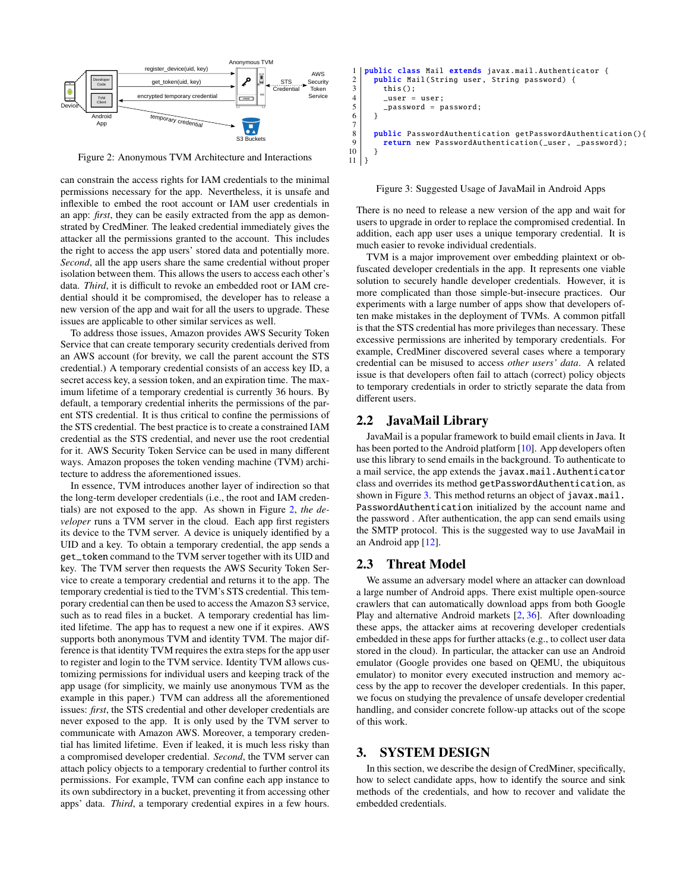<span id="page-2-1"></span>

Figure 2: Anonymous TVM Architecture and Interactions

can constrain the access rights for IAM credentials to the minimal permissions necessary for the app. Nevertheless, it is unsafe and inflexible to embed the root account or IAM user credentials in an app: *first*, they can be easily extracted from the app as demonstrated by CredMiner. The leaked credential immediately gives the attacker all the permissions granted to the account. This includes the right to access the app users' stored data and potentially more. *Second*, all the app users share the same credential without proper isolation between them. This allows the users to access each other's data. *Third*, it is difficult to revoke an embedded root or IAM credential should it be compromised, the developer has to release a new version of the app and wait for all the users to upgrade. These issues are applicable to other similar services as well.

To address those issues, Amazon provides AWS Security Token Service that can create temporary security credentials derived from an AWS account (for brevity, we call the parent account the STS credential.) A temporary credential consists of an access key ID, a secret access key, a session token, and an expiration time. The maximum lifetime of a temporary credential is currently 36 hours. By default, a temporary credential inherits the permissions of the parent STS credential. It is thus critical to confine the permissions of the STS credential. The best practice is to create a constrained IAM credential as the STS credential, and never use the root credential for it. AWS Security Token Service can be used in many different ways. Amazon proposes the token vending machine (TVM) architecture to address the aforementioned issues.

In essence, TVM introduces another layer of indirection so that the long-term developer credentials (i.e., the root and IAM credentials) are not exposed to the app. As shown in Figure [2,](#page-2-1) *the developer* runs a TVM server in the cloud. Each app first registers its device to the TVM server. A device is uniquely identified by a UID and a key. To obtain a temporary credential, the app sends a get\_token command to the TVM server together with its UID and key. The TVM server then requests the AWS Security Token Service to create a temporary credential and returns it to the app. The temporary credential is tied to the TVM's STS credential. This temporary credential can then be used to access the Amazon S3 service, such as to read files in a bucket. A temporary credential has limited lifetime. The app has to request a new one if it expires. AWS supports both anonymous TVM and identity TVM. The major difference is that identity TVM requires the extra steps for the app user to register and login to the TVM service. Identity TVM allows customizing permissions for individual users and keeping track of the app usage (for simplicity, we mainly use anonymous TVM as the example in this paper.) TVM can address all the aforementioned issues: *first*, the STS credential and other developer credentials are never exposed to the app. It is only used by the TVM server to communicate with Amazon AWS. Moreover, a temporary credential has limited lifetime. Even if leaked, it is much less risky than a compromised developer credential. *Second*, the TVM server can attach policy objects to a temporary credential to further control its permissions. For example, TVM can confine each app instance to its own subdirectory in a bucket, preventing it from accessing other apps' data. *Third*, a temporary credential expires in a few hours.

```
1 public class Mail extends javax.mail.Authenticator {<br>2 public Mail(String user, String password) {<br>this();
           public Mail(String user, String password) {
 \begin{array}{c} 3 \\ 4 \end{array} this ();<br>4
 \begin{array}{c|c} 4 & \text{user} = user; \\ 5 & \text{password} = p \end{array}-password = password;
 \sqrt{6}\begin{array}{c} 7 \\ 8 \end{array}8 public PasswordAuthentication getPasswordAuthentication (){<br>9 performation rew PasswordAuthentication (_user, _password);
           return new PasswordAuthentication (_user, _password);<br>}
\begin{bmatrix} 10 \\ 11 \end{bmatrix}11 }
```
Figure 3: Suggested Usage of JavaMail in Android Apps

There is no need to release a new version of the app and wait for users to upgrade in order to replace the compromised credential. In addition, each app user uses a unique temporary credential. It is much easier to revoke individual credentials.

TVM is a major improvement over embedding plaintext or obfuscated developer credentials in the app. It represents one viable solution to securely handle developer credentials. However, it is more complicated than those simple-but-insecure practices. Our experiments with a large number of apps show that developers often make mistakes in the deployment of TVMs. A common pitfall is that the STS credential has more privileges than necessary. These excessive permissions are inherited by temporary credentials. For example, CredMiner discovered several cases where a temporary credential can be misused to access *other users' data*. A related issue is that developers often fail to attach (correct) policy objects to temporary credentials in order to strictly separate the data from different users.

# 2.2 JavaMail Library

JavaMail is a popular framework to build email clients in Java. It has been ported to the Android platform [\[10\]](#page-10-1). App developers often use this library to send emails in the background. To authenticate to a mail service, the app extends the javax.mail.Authenticator class and overrides its method getPasswordAuthentication, as shown in Figure [3.](#page-2-2) This method returns an object of javax.mail. PasswordAuthentication initialized by the account name and the password . After authentication, the app can send emails using the SMTP protocol. This is the suggested way to use JavaMail in an Android app [\[12\]](#page-10-6).

#### 2.3 Threat Model

We assume an adversary model where an attacker can download a large number of Android apps. There exist multiple open-source crawlers that can automatically download apps from both Google Play and alternative Android markets [\[2,](#page-10-7) [36\]](#page-11-2). After downloading these apps, the attacker aims at recovering developer credentials embedded in these apps for further attacks (e.g., to collect user data stored in the cloud). In particular, the attacker can use an Android emulator (Google provides one based on QEMU, the ubiquitous emulator) to monitor every executed instruction and memory access by the app to recover the developer credentials. In this paper, we focus on studying the prevalence of unsafe developer credential handling, and consider concrete follow-up attacks out of the scope of this work.

#### <span id="page-2-0"></span>3. SYSTEM DESIGN

In this section, we describe the design of CredMiner, specifically, how to select candidate apps, how to identify the source and sink methods of the credentials, and how to recover and validate the embedded credentials.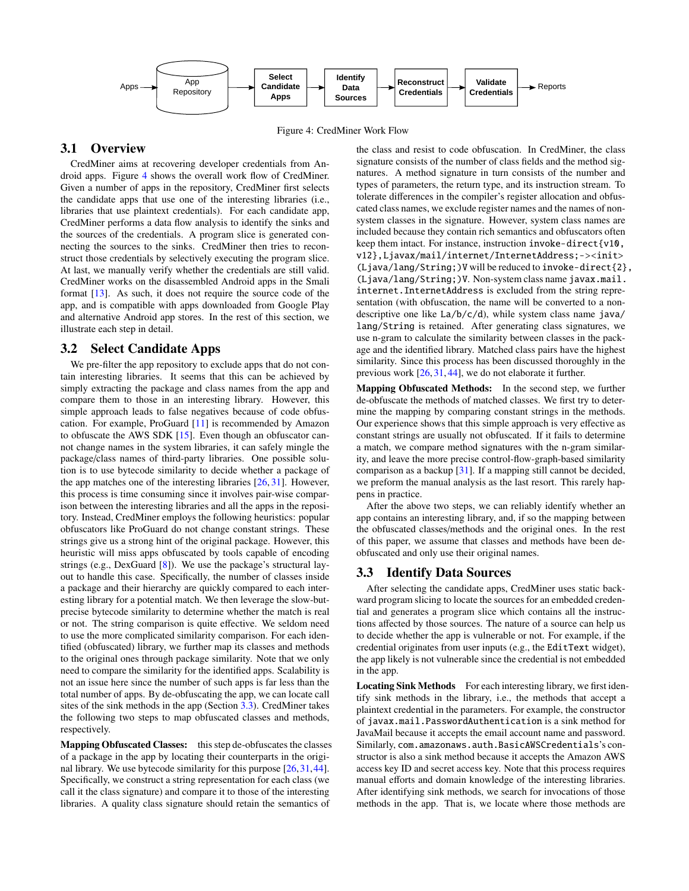<span id="page-3-0"></span>

Figure 4: CredMiner Work Flow

# 3.1 Overview

CredMiner aims at recovering developer credentials from Android apps. Figure [4](#page-3-0) shows the overall work flow of CredMiner. Given a number of apps in the repository, CredMiner first selects the candidate apps that use one of the interesting libraries (i.e., libraries that use plaintext credentials). For each candidate app, CredMiner performs a data flow analysis to identify the sinks and the sources of the credentials. A program slice is generated connecting the sources to the sinks. CredMiner then tries to reconstruct those credentials by selectively executing the program slice. At last, we manually verify whether the credentials are still valid. CredMiner works on the disassembled Android apps in the Smali format [\[13\]](#page-10-3). As such, it does not require the source code of the app, and is compatible with apps downloaded from Google Play and alternative Android app stores. In the rest of this section, we illustrate each step in detail.

#### <span id="page-3-2"></span>3.2 Select Candidate Apps

We pre-filter the app repository to exclude apps that do not contain interesting libraries. It seems that this can be achieved by simply extracting the package and class names from the app and compare them to those in an interesting library. However, this simple approach leads to false negatives because of code obfuscation. For example, ProGuard [\[11\]](#page-10-8) is recommended by Amazon to obfuscate the AWS SDK [\[15\]](#page-10-9). Even though an obfuscator cannot change names in the system libraries, it can safely mingle the package/class names of third-party libraries. One possible solution is to use bytecode similarity to decide whether a package of the app matches one of the interesting libraries [\[26,](#page-10-10) [31\]](#page-11-3). However, this process is time consuming since it involves pair-wise comparison between the interesting libraries and all the apps in the repository. Instead, CredMiner employs the following heuristics: popular obfuscators like ProGuard do not change constant strings. These strings give us a strong hint of the original package. However, this heuristic will miss apps obfuscated by tools capable of encoding strings (e.g., DexGuard [\[8\]](#page-10-11)). We use the package's structural layout to handle this case. Specifically, the number of classes inside a package and their hierarchy are quickly compared to each interesting library for a potential match. We then leverage the slow-butprecise bytecode similarity to determine whether the match is real or not. The string comparison is quite effective. We seldom need to use the more complicated similarity comparison. For each identified (obfuscated) library, we further map its classes and methods to the original ones through package similarity. Note that we only need to compare the similarity for the identified apps. Scalability is not an issue here since the number of such apps is far less than the total number of apps. By de-obfuscating the app, we can locate call sites of the sink methods in the app (Section [3.3\)](#page-3-1). CredMiner takes the following two steps to map obfuscated classes and methods, respectively.

Mapping Obfuscated Classes: this step de-obfuscates the classes of a package in the app by locating their counterparts in the original library. We use bytecode similarity for this purpose [\[26,](#page-10-10)[31,](#page-11-3)[44\]](#page-11-4). Specifically, we construct a string representation for each class (we call it the class signature) and compare it to those of the interesting libraries. A quality class signature should retain the semantics of

the class and resist to code obfuscation. In CredMiner, the class signature consists of the number of class fields and the method signatures. A method signature in turn consists of the number and types of parameters, the return type, and its instruction stream. To tolerate differences in the compiler's register allocation and obfuscated class names, we exclude register names and the names of nonsystem classes in the signature. However, system class names are included because they contain rich semantics and obfuscators often keep them intact. For instance, instruction invoke-direct {v10, v12},Ljavax/mail/internet/InternetAddress;-><init> (Ljava/lang/String;)V will be reduced to invoke-direct{2}, (Ljava/lang/String;)V. Non-system class name javax.mail. internet.InternetAddress is excluded from the string representation (with obfuscation, the name will be converted to a nondescriptive one like La/b/c/d), while system class name java/ lang/String is retained. After generating class signatures, we use n-gram to calculate the similarity between classes in the package and the identified library. Matched class pairs have the highest similarity. Since this process has been discussed thoroughly in the previous work [\[26,](#page-10-10) [31,](#page-11-3) [44\]](#page-11-4), we do not elaborate it further.

Mapping Obfuscated Methods: In the second step, we further de-obfuscate the methods of matched classes. We first try to determine the mapping by comparing constant strings in the methods. Our experience shows that this simple approach is very effective as constant strings are usually not obfuscated. If it fails to determine a match, we compare method signatures with the n-gram similarity, and leave the more precise control-flow-graph-based similarity comparison as a backup [\[31\]](#page-11-3). If a mapping still cannot be decided, we preform the manual analysis as the last resort. This rarely happens in practice.

After the above two steps, we can reliably identify whether an app contains an interesting library, and, if so the mapping between the obfuscated classes/methods and the original ones. In the rest of this paper, we assume that classes and methods have been deobfuscated and only use their original names.

#### <span id="page-3-1"></span>3.3 Identify Data Sources

After selecting the candidate apps, CredMiner uses static backward program slicing to locate the sources for an embedded credential and generates a program slice which contains all the instructions affected by those sources. The nature of a source can help us to decide whether the app is vulnerable or not. For example, if the credential originates from user inputs (e.g., the EditText widget), the app likely is not vulnerable since the credential is not embedded in the app.

Locating Sink Methods For each interesting library, we first identify sink methods in the library, i.e., the methods that accept a plaintext credential in the parameters. For example, the constructor of javax.mail.PasswordAuthentication is a sink method for JavaMail because it accepts the email account name and password. Similarly, com.amazonaws.auth.BasicAWSCredentials's constructor is also a sink method because it accepts the Amazon AWS access key ID and secret access key. Note that this process requires manual efforts and domain knowledge of the interesting libraries. After identifying sink methods, we search for invocations of those methods in the app. That is, we locate where those methods are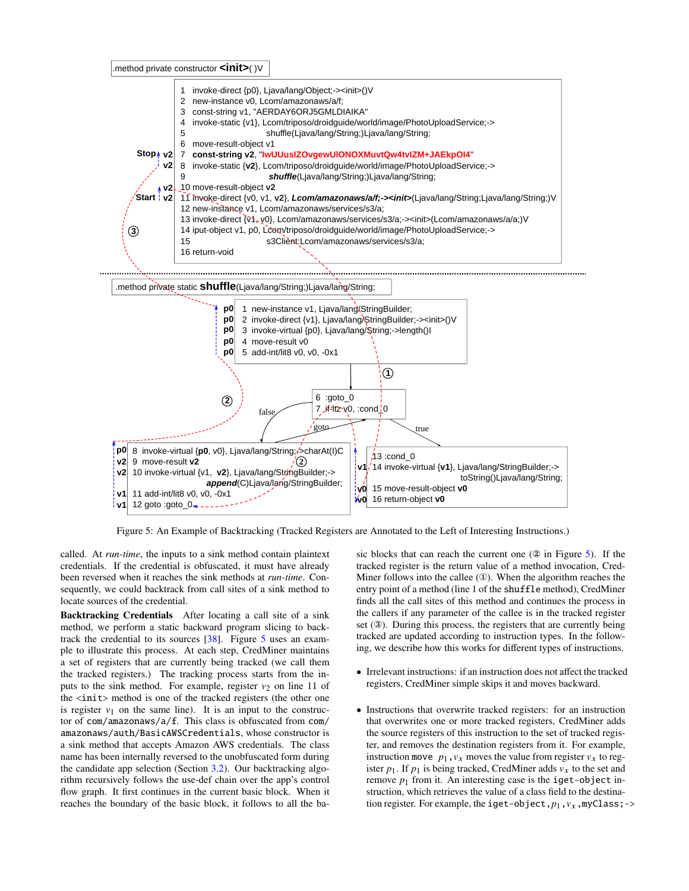.method private constructor **<init>**( )V

<span id="page-4-0"></span>

Figure 5: An Example of Backtracking (Tracked Registers are Annotated to the Left of Interesting Instructions.)

called. At *run-time*, the inputs to a sink method contain plaintext credentials. If the credential is obfuscated, it must have already been reversed when it reaches the sink methods at *run-time*. Consequently, we could backtrack from call sites of a sink method to locate sources of the credential.

Backtracking Credentials After locating a call site of a sink method, we perform a static backward program slicing to backtrack the credential to its sources [\[38\]](#page-11-1). Figure [5](#page-4-0) uses an example to illustrate this process. At each step, CredMiner maintains a set of registers that are currently being tracked (we call them the tracked registers.) The tracking process starts from the inputs to the sink method. For example, register  $v_2$  on line 11 of the <init> method is one of the tracked registers (the other one is register  $v_1$  on the same line). It is an input to the constructor of com/amazonaws/a/f. This class is obfuscated from com/ amazonaws/auth/BasicAWSCredentials, whose constructor is a sink method that accepts Amazon AWS credentials. The class name has been internally reversed to the unobfuscated form during the candidate app selection (Section [3.2\)](#page-3-2). Our backtracking algorithm recursively follows the use-def chain over the app's control flow graph. It first continues in the current basic block. When it reaches the boundary of the basic block, it follows to all the basic blocks that can reach the current one (② in Figure [5\)](#page-4-0). If the tracked register is the return value of a method invocation, Cred-Miner follows into the callee (①). When the algorithm reaches the entry point of a method (line 1 of the shuffle method), CredMiner finds all the call sites of this method and continues the process in the callers if any parameter of the callee is in the tracked register set (③). During this process, the registers that are currently being tracked are updated according to instruction types. In the following, we describe how this works for different types of instructions.

- Irrelevant instructions: if an instruction does not affect the tracked registers, CredMiner simple skips it and moves backward.
- Instructions that overwrite tracked registers: for an instruction that overwrites one or more tracked registers, CredMiner adds the source registers of this instruction to the set of tracked register, and removes the destination registers from it. For example, instruction move  $p_1, v_x$  moves the value from register  $v_x$  to register  $p_1$ . If  $p_1$  is being tracked, CredMiner adds  $v_x$  to the set and remove  $p_1$  from it. An interesting case is the **iget-object** instruction, which retrieves the value of a class field to the destination register. For example, the iget-object,  $p_1, v_x$ , myClass; ->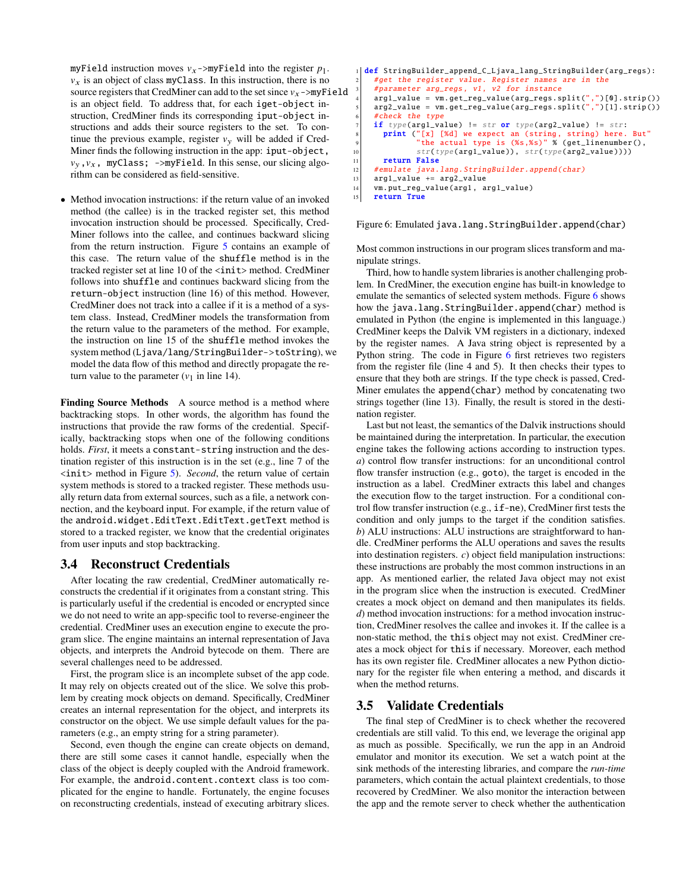myField instruction moves  $v_x$ ->myField into the register  $p_1$ .  $v<sub>x</sub>$  is an object of class myClass. In this instruction, there is no source registers that CredMiner can add to the set since  $v_x$ ->myField is an object field. To address that, for each iget-object instruction, CredMiner finds its corresponding iput-object instructions and adds their source registers to the set. To continue the previous example, register  $v<sub>v</sub>$  will be added if Cred-Miner finds the following instruction in the app: iput-object,  $v_y, v_x$ , myClass; ->myField. In this sense, our slicing algorithm can be considered as field-sensitive.

• Method invocation instructions: if the return value of an invoked method (the callee) is in the tracked register set, this method invocation instruction should be processed. Specifically, Cred-Miner follows into the callee, and continues backward slicing from the return instruction. Figure [5](#page-4-0) contains an example of this case. The return value of the shuffle method is in the tracked register set at line 10 of the <init> method. CredMiner follows into shuffle and continues backward slicing from the return-object instruction (line 16) of this method. However, CredMiner does not track into a callee if it is a method of a system class. Instead, CredMiner models the transformation from the return value to the parameters of the method. For example, the instruction on line 15 of the shuffle method invokes the system method (Ljava/lang/StringBuilder->toString), we model the data flow of this method and directly propagate the return value to the parameter  $(v_1$  in line 14).

Finding Source Methods A source method is a method where backtracking stops. In other words, the algorithm has found the instructions that provide the raw forms of the credential. Specifically, backtracking stops when one of the following conditions holds. *First*, it meets a constant-string instruction and the destination register of this instruction is in the set (e.g., line 7 of the  $\langle \text{init} \rangle$  method in Figure [5\)](#page-4-0). *Second*, the return value of certain system methods is stored to a tracked register. These methods usually return data from external sources, such as a file, a network connection, and the keyboard input. For example, if the return value of the android.widget.EditText.EditText.getText method is stored to a tracked register, we know that the credential originates from user inputs and stop backtracking.

#### 3.4 Reconstruct Credentials

After locating the raw credential, CredMiner automatically reconstructs the credential if it originates from a constant string. This is particularly useful if the credential is encoded or encrypted since we do not need to write an app-specific tool to reverse-engineer the credential. CredMiner uses an execution engine to execute the program slice. The engine maintains an internal representation of Java objects, and interprets the Android bytecode on them. There are several challenges need to be addressed.

First, the program slice is an incomplete subset of the app code. It may rely on objects created out of the slice. We solve this problem by creating mock objects on demand. Specifically, CredMiner creates an internal representation for the object, and interprets its constructor on the object. We use simple default values for the parameters (e.g., an empty string for a string parameter).

Second, even though the engine can create objects on demand, there are still some cases it cannot handle, especially when the class of the object is deeply coupled with the Android framework. For example, the android.content.context class is too complicated for the engine to handle. Fortunately, the engine focuses on reconstructing credentials, instead of executing arbitrary slices.

```
1 def StringBuilder_append_C_Ljava_lang_StringBuilder(arg_regs):
 2 #get the register value. Register names are in the
3 # parameter arg_regs , v1 , v2 for instance
     4 arg1_value = vm. get_reg_value (arg_regs .split(",")[0]. strip ())
     arg2_value = vm.get_reg_value (arg_reg.split(", ")[1].strip())#check the type
     if type(arg1_value) != str or type(arg2_value) != str:
 8 print ("[x] [%d] we expect an (string , string) here. But"
9 "the actual type is (%s,%s)" % ( get_linenumber (),
10 str(type(\text{arg1_value})), str(type(\text{arg2_value})))<br>
11 return False
       return False
12 #emulate java.lang. StringBuilder.append(char)
13 arg1_value += arg2_value
14 vm.put_reg_value (arg1, arg1_value)<br>15 return True
     return True
```

```
Figure 6: Emulated java.lang.StringBuilder.append(char)
```
Most common instructions in our program slices transform and manipulate strings.

Third, how to handle system libraries is another challenging problem. In CredMiner, the execution engine has built-in knowledge to emulate the semantics of selected system methods. Figure [6](#page-5-0) shows how the java.lang.StringBuilder.append(char) method is emulated in Python (the engine is implemented in this language.) CredMiner keeps the Dalvik VM registers in a dictionary, indexed by the register names. A Java string object is represented by a Python string. The code in Figure [6](#page-5-0) first retrieves two registers from the register file (line 4 and 5). It then checks their types to ensure that they both are strings. If the type check is passed, Cred-Miner emulates the append(char) method by concatenating two strings together (line 13). Finally, the result is stored in the destination register.

Last but not least, the semantics of the Dalvik instructions should be maintained during the interpretation. In particular, the execution engine takes the following actions according to instruction types. *a*) control flow transfer instructions: for an unconditional control flow transfer instruction (e.g., goto), the target is encoded in the instruction as a label. CredMiner extracts this label and changes the execution flow to the target instruction. For a conditional control flow transfer instruction (e.g., if-ne), CredMiner first tests the condition and only jumps to the target if the condition satisfies. *b*) ALU instructions: ALU instructions are straightforward to handle. CredMiner performs the ALU operations and saves the results into destination registers. *c*) object field manipulation instructions: these instructions are probably the most common instructions in an app. As mentioned earlier, the related Java object may not exist in the program slice when the instruction is executed. CredMiner creates a mock object on demand and then manipulates its fields. *d*) method invocation instructions: for a method invocation instruction, CredMiner resolves the callee and invokes it. If the callee is a non-static method, the this object may not exist. CredMiner creates a mock object for this if necessary. Moreover, each method has its own register file. CredMiner allocates a new Python dictionary for the register file when entering a method, and discards it when the method returns.

# 3.5 Validate Credentials

The final step of CredMiner is to check whether the recovered credentials are still valid. To this end, we leverage the original app as much as possible. Specifically, we run the app in an Android emulator and monitor its execution. We set a watch point at the sink methods of the interesting libraries, and compare the *run-time* parameters, which contain the actual plaintext credentials, to those recovered by CredMiner. We also monitor the interaction between the app and the remote server to check whether the authentication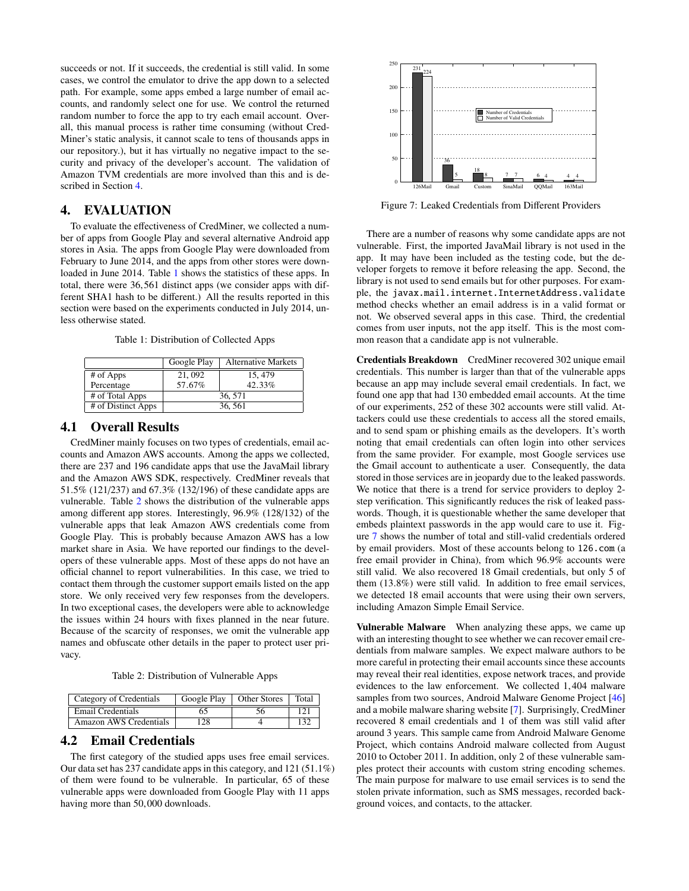succeeds or not. If it succeeds, the credential is still valid. In some cases, we control the emulator to drive the app down to a selected path. For example, some apps embed a large number of email accounts, and randomly select one for use. We control the returned random number to force the app to try each email account. Overall, this manual process is rather time consuming (without Cred-Miner's static analysis, it cannot scale to tens of thousands apps in our repository.), but it has virtually no negative impact to the security and privacy of the developer's account. The validation of Amazon TVM credentials are more involved than this and is described in Section [4.](#page-6-0)

# <span id="page-6-0"></span>4. EVALUATION

To evaluate the effectiveness of CredMiner, we collected a number of apps from Google Play and several alternative Android app stores in Asia. The apps from Google Play were downloaded from February to June 2014, and the apps from other stores were downloaded in June 2014. Table [1](#page-6-1) shows the statistics of these apps. In total, there were 36,561 distinct apps (we consider apps with different SHA1 hash to be different.) All the results reported in this section were based on the experiments conducted in July 2014, unless otherwise stated.

Table 1: Distribution of Collected Apps

<span id="page-6-1"></span>

|                      | Google Play | <b>Alternative Markets</b> |  |
|----------------------|-------------|----------------------------|--|
| # of Apps            | 21, 092     | 15, 479                    |  |
| Percentage           | 57.67%      | 42.33%                     |  |
| # of Total Apps      | 36, 571     |                            |  |
| $#$ of Distinct Apps | 36, 561     |                            |  |
|                      |             |                            |  |

#### 4.1 Overall Results

CredMiner mainly focuses on two types of credentials, email accounts and Amazon AWS accounts. Among the apps we collected, there are 237 and 196 candidate apps that use the JavaMail library and the Amazon AWS SDK, respectively. CredMiner reveals that <sup>51</sup>.5% (121/237) and 67.3% (132/196) of these candidate apps are vulnerable. Table [2](#page-6-2) shows the distribution of the vulnerable apps among different app stores. Interestingly, 96.9% (128/132) of the vulnerable apps that leak Amazon AWS credentials come from Google Play. This is probably because Amazon AWS has a low market share in Asia. We have reported our findings to the developers of these vulnerable apps. Most of these apps do not have an official channel to report vulnerabilities. In this case, we tried to contact them through the customer support emails listed on the app store. We only received very few responses from the developers. In two exceptional cases, the developers were able to acknowledge the issues within 24 hours with fixes planned in the near future. Because of the scarcity of responses, we omit the vulnerable app names and obfuscate other details in the paper to protect user privacy.

Table 2: Distribution of Vulnerable Apps

<span id="page-6-2"></span>

| Category of Credentials | Google Play | <b>Other Stores</b> | Total |
|-------------------------|-------------|---------------------|-------|
| Email Credentials       |             |                     |       |
| Amazon AWS Credentials  | റ           |                     |       |

#### 4.2 Email Credentials

The first category of the studied apps uses free email services. Our data set has 237 candidate apps in this category, and 121 (51.1%) of them were found to be vulnerable. In particular, 65 of these vulnerable apps were downloaded from Google Play with 11 apps having more than 50,000 downloads.

<span id="page-6-3"></span>

Figure 7: Leaked Credentials from Different Providers

There are a number of reasons why some candidate apps are not vulnerable. First, the imported JavaMail library is not used in the app. It may have been included as the testing code, but the developer forgets to remove it before releasing the app. Second, the library is not used to send emails but for other purposes. For example, the javax.mail.internet.InternetAddress.validate method checks whether an email address is in a valid format or not. We observed several apps in this case. Third, the credential comes from user inputs, not the app itself. This is the most common reason that a candidate app is not vulnerable.

Credentials Breakdown CredMiner recovered 302 unique email credentials. This number is larger than that of the vulnerable apps because an app may include several email credentials. In fact, we found one app that had 130 embedded email accounts. At the time of our experiments, 252 of these 302 accounts were still valid. Attackers could use these credentials to access all the stored emails, and to send spam or phishing emails as the developers. It's worth noting that email credentials can often login into other services from the same provider. For example, most Google services use the Gmail account to authenticate a user. Consequently, the data stored in those services are in jeopardy due to the leaked passwords. We notice that there is a trend for service providers to deploy 2 step verification. This significantly reduces the risk of leaked passwords. Though, it is questionable whether the same developer that embeds plaintext passwords in the app would care to use it. Figure [7](#page-6-3) shows the number of total and still-valid credentials ordered by email providers. Most of these accounts belong to 126.com (a free email provider in China), from which 96.9% accounts were still valid. We also recovered 18 Gmail credentials, but only 5 of them (13.8%) were still valid. In addition to free email services, we detected 18 email accounts that were using their own servers, including Amazon Simple Email Service.

Vulnerable Malware When analyzing these apps, we came up with an interesting thought to see whether we can recover email credentials from malware samples. We expect malware authors to be more careful in protecting their email accounts since these accounts may reveal their real identities, expose network traces, and provide evidences to the law enforcement. We collected 1,404 malware samples from two sources, Android Malware Genome Project [\[46\]](#page-11-5) and a mobile malware sharing website [\[7\]](#page-10-12). Surprisingly, CredMiner recovered 8 email credentials and 1 of them was still valid after around 3 years. This sample came from Android Malware Genome Project, which contains Android malware collected from August 2010 to October 2011. In addition, only 2 of these vulnerable samples protect their accounts with custom string encoding schemes. The main purpose for malware to use email services is to send the stolen private information, such as SMS messages, recorded background voices, and contacts, to the attacker.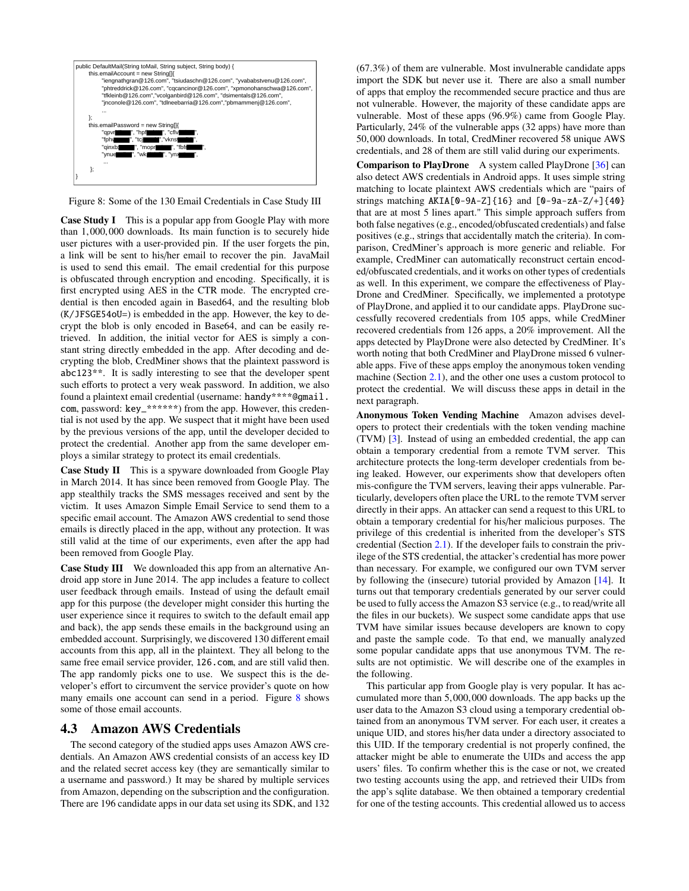<span id="page-7-0"></span>

Figure 8: Some of the 130 Email Credentials in Case Study III

Case Study I This is a popular app from Google Play with more than 1,000,000 downloads. Its main function is to securely hide user pictures with a user-provided pin. If the user forgets the pin, a link will be sent to his/her email to recover the pin. JavaMail is used to send this email. The email credential for this purpose is obfuscated through encryption and encoding. Specifically, it is first encrypted using AES in the CTR mode. The encrypted credential is then encoded again in Based64, and the resulting blob (K/JFSGE54oU=) is embedded in the app. However, the key to decrypt the blob is only encoded in Base64, and can be easily retrieved. In addition, the initial vector for AES is simply a constant string directly embedded in the app. After decoding and decrypting the blob, CredMiner shows that the plaintext password is abc123\*\*. It is sadly interesting to see that the developer spent such efforts to protect a very weak password. In addition, we also found a plaintext email credential (username: handy\*\*\*\*@gmail. com, password: key\_\*\*\*\*\*\*) from the app. However, this credential is not used by the app. We suspect that it might have been used by the previous versions of the app, until the developer decided to protect the credential. Another app from the same developer employs a similar strategy to protect its email credentials.

Case Study II This is a spyware downloaded from Google Play in March 2014. It has since been removed from Google Play. The app stealthily tracks the SMS messages received and sent by the victim. It uses Amazon Simple Email Service to send them to a specific email account. The Amazon AWS credential to send those emails is directly placed in the app, without any protection. It was still valid at the time of our experiments, even after the app had been removed from Google Play.

Case Study III We downloaded this app from an alternative Android app store in June 2014. The app includes a feature to collect user feedback through emails. Instead of using the default email app for this purpose (the developer might consider this hurting the user experience since it requires to switch to the default email app and back), the app sends these emails in the background using an embedded account. Surprisingly, we discovered 130 different email accounts from this app, all in the plaintext. They all belong to the same free email service provider, 126.com, and are still valid then. The app randomly picks one to use. We suspect this is the developer's effort to circumvent the service provider's quote on how many emails one account can send in a period. Figure [8](#page-7-0) shows some of those email accounts.

#### 4.3 Amazon AWS Credentials

The second category of the studied apps uses Amazon AWS credentials. An Amazon AWS credential consists of an access key ID and the related secret access key (they are semantically similar to a username and password.) It may be shared by multiple services from Amazon, depending on the subscription and the configuration. There are 196 candidate apps in our data set using its SDK, and 132 (67.3%) of them are vulnerable. Most invulnerable candidate apps import the SDK but never use it. There are also a small number of apps that employ the recommended secure practice and thus are not vulnerable. However, the majority of these candidate apps are vulnerable. Most of these apps (96.9%) came from Google Play. Particularly, 24% of the vulnerable apps (32 apps) have more than <sup>50</sup>,000 downloads. In total, CredMiner recovered 58 unique AWS credentials, and 28 of them are still valid during our experiments.

Comparison to PlayDrone A system called PlayDrone [\[36\]](#page-11-2) can also detect AWS credentials in Android apps. It uses simple string matching to locate plaintext AWS credentials which are "pairs of strings matching  $AKIA[0-9A-Z]\{16\}$  and  $[0-9a-zA-Z/+]\{40\}$ that are at most 5 lines apart." This simple approach suffers from both false negatives (e.g., encoded/obfuscated credentials) and false positives (e.g., strings that accidentally match the criteria). In comparison, CredMiner's approach is more generic and reliable. For example, CredMiner can automatically reconstruct certain encoded/obfuscated credentials, and it works on other types of credentials as well. In this experiment, we compare the effectiveness of Play-Drone and CredMiner. Specifically, we implemented a prototype of PlayDrone, and applied it to our candidate apps. PlayDrone successfully recovered credentials from 105 apps, while CredMiner recovered credentials from 126 apps, a 20% improvement. All the apps detected by PlayDrone were also detected by CredMiner. It's worth noting that both CredMiner and PlayDrone missed 6 vulnerable apps. Five of these apps employ the anonymous token vending machine (Section [2.1\)](#page-1-1), and the other one uses a custom protocol to protect the credential. We will discuss these apps in detail in the next paragraph.

Anonymous Token Vending Machine Amazon advises developers to protect their credentials with the token vending machine (TVM) [\[3\]](#page-10-4). Instead of using an embedded credential, the app can obtain a temporary credential from a remote TVM server. This architecture protects the long-term developer credentials from being leaked. However, our experiments show that developers often mis-configure the TVM servers, leaving their apps vulnerable. Particularly, developers often place the URL to the remote TVM server directly in their apps. An attacker can send a request to this URL to obtain a temporary credential for his/her malicious purposes. The privilege of this credential is inherited from the developer's STS credential (Section [2.1\)](#page-1-1). If the developer fails to constrain the privilege of the STS credential, the attacker's credential has more power than necessary. For example, we configured our own TVM server by following the (insecure) tutorial provided by Amazon [\[14\]](#page-10-13). It turns out that temporary credentials generated by our server could be used to fully access the Amazon S3 service (e.g., to read/write all the files in our buckets). We suspect some candidate apps that use TVM have similar issues because developers are known to copy and paste the sample code. To that end, we manually analyzed some popular candidate apps that use anonymous TVM. The results are not optimistic. We will describe one of the examples in the following.

This particular app from Google play is very popular. It has accumulated more than 5,000,000 downloads. The app backs up the user data to the Amazon S3 cloud using a temporary credential obtained from an anonymous TVM server. For each user, it creates a unique UID, and stores his/her data under a directory associated to this UID. If the temporary credential is not properly confined, the attacker might be able to enumerate the UIDs and access the app users' files. To confirm whether this is the case or not, we created two testing accounts using the app, and retrieved their UIDs from the app's sqlite database. We then obtained a temporary credential for one of the testing accounts. This credential allowed us to access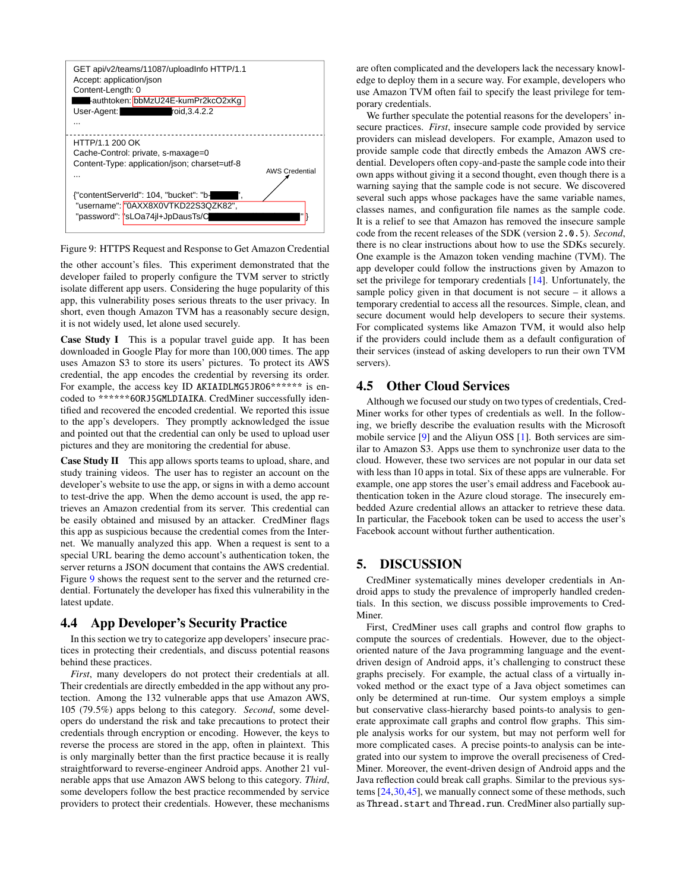<span id="page-8-1"></span>

Figure 9: HTTPS Request and Response to Get Amazon Credential

the other account's files. This experiment demonstrated that the developer failed to properly configure the TVM server to strictly isolate different app users. Considering the huge popularity of this app, this vulnerability poses serious threats to the user privacy. In short, even though Amazon TVM has a reasonably secure design, it is not widely used, let alone used securely.

Case Study I This is a popular travel guide app. It has been downloaded in Google Play for more than 100,000 times. The app uses Amazon S3 to store its users' pictures. To protect its AWS credential, the app encodes the credential by reversing its order. For example, the access key ID AKIAIDLMG5JR06\*\*\*\*\*\* is encoded to \*\*\*\*\*\*6ORJ5GMLDIAIKA. CredMiner successfully identified and recovered the encoded credential. We reported this issue to the app's developers. They promptly acknowledged the issue and pointed out that the credential can only be used to upload user pictures and they are monitoring the credential for abuse.

Case Study II This app allows sports teams to upload, share, and study training videos. The user has to register an account on the developer's website to use the app, or signs in with a demo account to test-drive the app. When the demo account is used, the app retrieves an Amazon credential from its server. This credential can be easily obtained and misused by an attacker. CredMiner flags this app as suspicious because the credential comes from the Internet. We manually analyzed this app. When a request is sent to a special URL bearing the demo account's authentication token, the server returns a JSON document that contains the AWS credential. Figure [9](#page-8-1) shows the request sent to the server and the returned credential. Fortunately the developer has fixed this vulnerability in the latest update.

#### 4.4 App Developer's Security Practice

In this section we try to categorize app developers' insecure practices in protecting their credentials, and discuss potential reasons behind these practices.

*First*, many developers do not protect their credentials at all. Their credentials are directly embedded in the app without any protection. Among the 132 vulnerable apps that use Amazon AWS, 105 (79.5%) apps belong to this category. *Second*, some developers do understand the risk and take precautions to protect their credentials through encryption or encoding. However, the keys to reverse the process are stored in the app, often in plaintext. This is only marginally better than the first practice because it is really straightforward to reverse-engineer Android apps. Another 21 vulnerable apps that use Amazon AWS belong to this category. *Third*, some developers follow the best practice recommended by service providers to protect their credentials. However, these mechanisms are often complicated and the developers lack the necessary knowledge to deploy them in a secure way. For example, developers who use Amazon TVM often fail to specify the least privilege for temporary credentials.

We further speculate the potential reasons for the developers' insecure practices. *First*, insecure sample code provided by service providers can mislead developers. For example, Amazon used to provide sample code that directly embeds the Amazon AWS credential. Developers often copy-and-paste the sample code into their own apps without giving it a second thought, even though there is a warning saying that the sample code is not secure. We discovered several such apps whose packages have the same variable names, classes names, and configuration file names as the sample code. It is a relief to see that Amazon has removed the insecure sample code from the recent releases of the SDK (version 2.0.5). *Second*, there is no clear instructions about how to use the SDKs securely. One example is the Amazon token vending machine (TVM). The app developer could follow the instructions given by Amazon to set the privilege for temporary credentials [\[14\]](#page-10-13). Unfortunately, the sample policy given in that document is not secure – it allows a temporary credential to access all the resources. Simple, clean, and secure document would help developers to secure their systems. For complicated systems like Amazon TVM, it would also help if the providers could include them as a default configuration of their services (instead of asking developers to run their own TVM servers).

#### 4.5 Other Cloud Services

Although we focused our study on two types of credentials, Cred-Miner works for other types of credentials as well. In the following, we briefly describe the evaluation results with the Microsoft mobile service [\[9\]](#page-10-14) and the Aliyun OSS [\[1\]](#page-10-15). Both services are similar to Amazon S3. Apps use them to synchronize user data to the cloud. However, these two services are not popular in our data set with less than 10 apps in total. Six of these apps are vulnerable. For example, one app stores the user's email address and Facebook authentication token in the Azure cloud storage. The insecurely embedded Azure credential allows an attacker to retrieve these data. In particular, the Facebook token can be used to access the user's Facebook account without further authentication.

# <span id="page-8-0"></span>5. DISCUSSION

CredMiner systematically mines developer credentials in Android apps to study the prevalence of improperly handled credentials. In this section, we discuss possible improvements to Cred-Miner.

First, CredMiner uses call graphs and control flow graphs to compute the sources of credentials. However, due to the objectoriented nature of the Java programming language and the eventdriven design of Android apps, it's challenging to construct these graphs precisely. For example, the actual class of a virtually invoked method or the exact type of a Java object sometimes can only be determined at run-time. Our system employs a simple but conservative class-hierarchy based points-to analysis to generate approximate call graphs and control flow graphs. This simple analysis works for our system, but may not perform well for more complicated cases. A precise points-to analysis can be integrated into our system to improve the overall preciseness of Cred-Miner. Moreover, the event-driven design of Android apps and the Java reflection could break call graphs. Similar to the previous systems [\[24](#page-10-16)[,30,](#page-11-6)[45\]](#page-11-7), we manually connect some of these methods, such as Thread.start and Thread.run. CredMiner also partially sup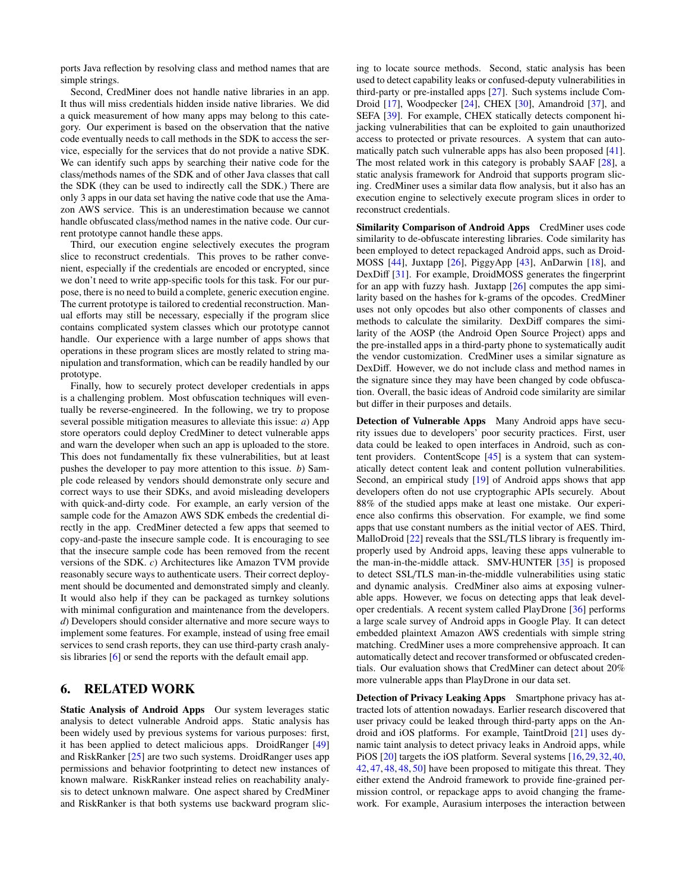ports Java reflection by resolving class and method names that are simple strings.

Second, CredMiner does not handle native libraries in an app. It thus will miss credentials hidden inside native libraries. We did a quick measurement of how many apps may belong to this category. Our experiment is based on the observation that the native code eventually needs to call methods in the SDK to access the service, especially for the services that do not provide a native SDK. We can identify such apps by searching their native code for the class/methods names of the SDK and of other Java classes that call the SDK (they can be used to indirectly call the SDK.) There are only 3 apps in our data set having the native code that use the Amazon AWS service. This is an underestimation because we cannot handle obfuscated class/method names in the native code. Our current prototype cannot handle these apps.

Third, our execution engine selectively executes the program slice to reconstruct credentials. This proves to be rather convenient, especially if the credentials are encoded or encrypted, since we don't need to write app-specific tools for this task. For our purpose, there is no need to build a complete, generic execution engine. The current prototype is tailored to credential reconstruction. Manual efforts may still be necessary, especially if the program slice contains complicated system classes which our prototype cannot handle. Our experience with a large number of apps shows that operations in these program slices are mostly related to string manipulation and transformation, which can be readily handled by our prototype.

Finally, how to securely protect developer credentials in apps is a challenging problem. Most obfuscation techniques will eventually be reverse-engineered. In the following, we try to propose several possible mitigation measures to alleviate this issue: *a*) App store operators could deploy CredMiner to detect vulnerable apps and warn the developer when such an app is uploaded to the store. This does not fundamentally fix these vulnerabilities, but at least pushes the developer to pay more attention to this issue. *b*) Sample code released by vendors should demonstrate only secure and correct ways to use their SDKs, and avoid misleading developers with quick-and-dirty code. For example, an early version of the sample code for the Amazon AWS SDK embeds the credential directly in the app. CredMiner detected a few apps that seemed to copy-and-paste the insecure sample code. It is encouraging to see that the insecure sample code has been removed from the recent versions of the SDK. *c*) Architectures like Amazon TVM provide reasonably secure ways to authenticate users. Their correct deployment should be documented and demonstrated simply and cleanly. It would also help if they can be packaged as turnkey solutions with minimal configuration and maintenance from the developers. *d*) Developers should consider alternative and more secure ways to implement some features. For example, instead of using free email services to send crash reports, they can use third-party crash analysis libraries [\[6\]](#page-10-17) or send the reports with the default email app.

# <span id="page-9-0"></span>6. RELATED WORK

Static Analysis of Android Apps Our system leverages static analysis to detect vulnerable Android apps. Static analysis has been widely used by previous systems for various purposes: first, it has been applied to detect malicious apps. DroidRanger [\[49\]](#page-11-8) and RiskRanker [\[25\]](#page-10-18) are two such systems. DroidRanger uses app permissions and behavior footprinting to detect new instances of known malware. RiskRanker instead relies on reachability analysis to detect unknown malware. One aspect shared by CredMiner and RiskRanker is that both systems use backward program slicing to locate source methods. Second, static analysis has been used to detect capability leaks or confused-deputy vulnerabilities in third-party or pre-installed apps [\[27\]](#page-10-19). Such systems include Com-Droid [\[17\]](#page-10-20), Woodpecker [\[24\]](#page-10-16), CHEX [\[30\]](#page-11-6), Amandroid [\[37\]](#page-11-9), and SEFA [\[39\]](#page-11-10). For example, CHEX statically detects component hijacking vulnerabilities that can be exploited to gain unauthorized access to protected or private resources. A system that can automatically patch such vulnerable apps has also been proposed [\[41\]](#page-11-11). The most related work in this category is probably SAAF [\[28\]](#page-11-0), a static analysis framework for Android that supports program slicing. CredMiner uses a similar data flow analysis, but it also has an execution engine to selectively execute program slices in order to reconstruct credentials.

Similarity Comparison of Android Apps CredMiner uses code similarity to de-obfuscate interesting libraries. Code similarity has been employed to detect repackaged Android apps, such as Droid-MOSS [\[44\]](#page-11-4), Juxtapp [\[26\]](#page-10-10), PiggyApp [\[43\]](#page-11-12), AnDarwin [\[18\]](#page-10-21), and DexDiff [\[31\]](#page-11-3). For example, DroidMOSS generates the fingerprint for an app with fuzzy hash. Juxtapp [\[26\]](#page-10-10) computes the app similarity based on the hashes for k-grams of the opcodes. CredMiner uses not only opcodes but also other components of classes and methods to calculate the similarity. DexDiff compares the similarity of the AOSP (the Android Open Source Project) apps and the pre-installed apps in a third-party phone to systematically audit the vendor customization. CredMiner uses a similar signature as DexDiff. However, we do not include class and method names in the signature since they may have been changed by code obfuscation. Overall, the basic ideas of Android code similarity are similar but differ in their purposes and details.

Detection of Vulnerable Apps Many Android apps have security issues due to developers' poor security practices. First, user data could be leaked to open interfaces in Android, such as content providers. ContentScope [\[45\]](#page-11-7) is a system that can systematically detect content leak and content pollution vulnerabilities. Second, an empirical study [\[19\]](#page-10-22) of Android apps shows that app developers often do not use cryptographic APIs securely. About 88% of the studied apps make at least one mistake. Our experience also confirms this observation. For example, we find some apps that use constant numbers as the initial vector of AES. Third, MalloDroid [\[22\]](#page-10-23) reveals that the SSL/TLS library is frequently improperly used by Android apps, leaving these apps vulnerable to the man-in-the-middle attack. SMV-HUNTER [\[35\]](#page-11-13) is proposed to detect SSL/TLS man-in-the-middle vulnerabilities using static and dynamic analysis. CredMiner also aims at exposing vulnerable apps. However, we focus on detecting apps that leak developer credentials. A recent system called PlayDrone [\[36\]](#page-11-2) performs a large scale survey of Android apps in Google Play. It can detect embedded plaintext Amazon AWS credentials with simple string matching. CredMiner uses a more comprehensive approach. It can automatically detect and recover transformed or obfuscated credentials. Our evaluation shows that CredMiner can detect about 20% more vulnerable apps than PlayDrone in our data set.

Detection of Privacy Leaking Apps Smartphone privacy has attracted lots of attention nowadays. Earlier research discovered that user privacy could be leaked through third-party apps on the Android and iOS platforms. For example, TaintDroid [\[21\]](#page-10-24) uses dynamic taint analysis to detect privacy leaks in Android apps, while PiOS [\[20\]](#page-10-25) targets the iOS platform. Several systems [\[16,](#page-10-26)[29,](#page-11-14)[32,](#page-11-15)[40,](#page-11-16) [42,](#page-11-17) [47,](#page-11-18) [48,](#page-11-19) [48,](#page-11-19) [50\]](#page-11-20) have been proposed to mitigate this threat. They either extend the Android framework to provide fine-grained permission control, or repackage apps to avoid changing the framework. For example, Aurasium interposes the interaction between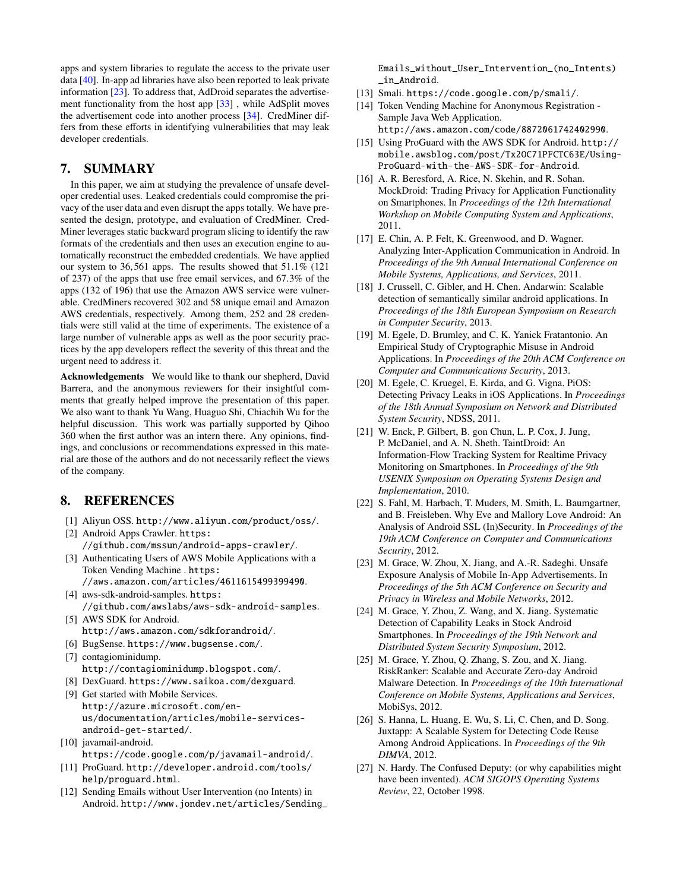apps and system libraries to regulate the access to the private user data [\[40\]](#page-11-16). In-app ad libraries have also been reported to leak private information [\[23\]](#page-10-27). To address that, AdDroid separates the advertisement functionality from the host app [\[33\]](#page-11-21) , while AdSplit moves the advertisement code into another process [\[34\]](#page-11-22). CredMiner differs from these efforts in identifying vulnerabilities that may leak developer credentials.

# <span id="page-10-5"></span>7. SUMMARY

In this paper, we aim at studying the prevalence of unsafe developer credential uses. Leaked credentials could compromise the privacy of the user data and even disrupt the apps totally. We have presented the design, prototype, and evaluation of CredMiner. Cred-Miner leverages static backward program slicing to identify the raw formats of the credentials and then uses an execution engine to automatically reconstruct the embedded credentials. We have applied our system to 36,561 apps. The results showed that 51.1% (121 of 237) of the apps that use free email services, and 67.3% of the apps (132 of 196) that use the Amazon AWS service were vulnerable. CredMiners recovered 302 and 58 unique email and Amazon AWS credentials, respectively. Among them, 252 and 28 credentials were still valid at the time of experiments. The existence of a large number of vulnerable apps as well as the poor security practices by the app developers reflect the severity of this threat and the urgent need to address it.

Acknowledgements We would like to thank our shepherd, David Barrera, and the anonymous reviewers for their insightful comments that greatly helped improve the presentation of this paper. We also want to thank Yu Wang, Huaguo Shi, Chiachih Wu for the helpful discussion. This work was partially supported by Qihoo 360 when the first author was an intern there. Any opinions, findings, and conclusions or recommendations expressed in this material are those of the authors and do not necessarily reflect the views of the company.

# 8. REFERENCES

- <span id="page-10-15"></span>[1] Aliyun OSS. <http://www.aliyun.com/product/oss/>.
- <span id="page-10-7"></span>[2] Android Apps Crawler. [https:](https://github.com/mssun/android-apps-crawler/) [//github.com/mssun/android-apps-crawler/](https://github.com/mssun/android-apps-crawler/).
- <span id="page-10-4"></span>[3] Authenticating Users of AWS Mobile Applications with a Token Vending Machine . [https:](https://aws.amazon.com/articles/4611615499399490)
	- [//aws.amazon.com/articles/4611615499399490](https://aws.amazon.com/articles/4611615499399490).
- <span id="page-10-2"></span><span id="page-10-0"></span>[4] aws-sdk-android-samples. [https:](https://github.com/awslabs/aws-sdk-android-samples) [//github.com/awslabs/aws-sdk-android-samples](https://github.com/awslabs/aws-sdk-android-samples). [5] AWS SDK for Android.
	- <http://aws.amazon.com/sdkforandroid/>.
- <span id="page-10-17"></span>[6] BugSense. <https://www.bugsense.com/>.
- <span id="page-10-12"></span>[7] contagiominidump. <http://contagiominidump.blogspot.com/>.
- <span id="page-10-11"></span>[8] DexGuard. <https://www.saikoa.com/dexguard>.
- <span id="page-10-14"></span>[9] Get started with Mobile Services. [http://azure.microsoft.com/en](http://azure.microsoft.com/en-us/documentation/articles/mobile-services-android-get-started/)[us/documentation/articles/mobile-services](http://azure.microsoft.com/en-us/documentation/articles/mobile-services-android-get-started/)[android-get-started/](http://azure.microsoft.com/en-us/documentation/articles/mobile-services-android-get-started/).
- <span id="page-10-1"></span>[10] javamail-android. <https://code.google.com/p/javamail-android/>.
- <span id="page-10-8"></span>[11] ProGuard. [http://developer.android.com/tools/](http://developer.android.com/tools/help/proguard.html) [help/proguard.html](http://developer.android.com/tools/help/proguard.html).
- <span id="page-10-6"></span>[12] Sending Emails without User Intervention (no Intents) in Android. [http://www.jondev.net/articles/Sending\\_](http://www.jondev.net/articles/Sending_Emails_without_User_Intervention_(no_Intents)_in_Android)

[Emails\\_without\\_User\\_Intervention\\_\(no\\_Intents\)](http://www.jondev.net/articles/Sending_Emails_without_User_Intervention_(no_Intents)_in_Android) [\\_in\\_Android](http://www.jondev.net/articles/Sending_Emails_without_User_Intervention_(no_Intents)_in_Android).

- <span id="page-10-3"></span>[13] Smali. <https://code.google.com/p/smali/>.
- <span id="page-10-13"></span>[14] Token Vending Machine for Anonymous Registration - Sample Java Web Application. <http://aws.amazon.com/code/8872061742402990>.
- <span id="page-10-9"></span>[15] Using ProGuard with the AWS SDK for Android. [http://](http://mobile.awsblog.com/post/Tx2OC71PFCTC63E/Using-ProGuard-with-the-AWS-SDK-for-Android) [mobile.awsblog.com/post/Tx2OC71PFCTC63E/Using-](http://mobile.awsblog.com/post/Tx2OC71PFCTC63E/Using-ProGuard-with-the-AWS-SDK-for-Android)[ProGuard-with-the-AWS-SDK-for-Android](http://mobile.awsblog.com/post/Tx2OC71PFCTC63E/Using-ProGuard-with-the-AWS-SDK-for-Android).
- <span id="page-10-26"></span>[16] A. R. Beresford, A. Rice, N. Skehin, and R. Sohan. MockDroid: Trading Privacy for Application Functionality on Smartphones. In *Proceedings of the 12th International Workshop on Mobile Computing System and Applications*, 2011.
- <span id="page-10-20"></span>[17] E. Chin, A. P. Felt, K. Greenwood, and D. Wagner. Analyzing Inter-Application Communication in Android. In *Proceedings of the 9th Annual International Conference on Mobile Systems, Applications, and Services*, 2011.
- <span id="page-10-21"></span>[18] J. Crussell, C. Gibler, and H. Chen. Andarwin: Scalable detection of semantically similar android applications. In *Proceedings of the 18th European Symposium on Research in Computer Security*, 2013.
- <span id="page-10-22"></span>[19] M. Egele, D. Brumley, and C. K. Yanick Fratantonio. An Empirical Study of Cryptographic Misuse in Android Applications. In *Proceedings of the 20th ACM Conference on Computer and Communications Security*, 2013.
- <span id="page-10-25"></span>[20] M. Egele, C. Kruegel, E. Kirda, and G. Vigna. PiOS: Detecting Privacy Leaks in iOS Applications. In *Proceedings of the 18th Annual Symposium on Network and Distributed System Security*, NDSS, 2011.
- <span id="page-10-24"></span>[21] W. Enck, P. Gilbert, B. gon Chun, L. P. Cox, J. Jung, P. McDaniel, and A. N. Sheth. TaintDroid: An Information-Flow Tracking System for Realtime Privacy Monitoring on Smartphones. In *Proceedings of the 9th USENIX Symposium on Operating Systems Design and Implementation*, 2010.
- <span id="page-10-23"></span>[22] S. Fahl, M. Harbach, T. Muders, M. Smith, L. Baumgartner, and B. Freisleben. Why Eve and Mallory Love Android: An Analysis of Android SSL (In)Security. In *Proceedings of the 19th ACM Conference on Computer and Communications Security*, 2012.
- <span id="page-10-27"></span>[23] M. Grace, W. Zhou, X. Jiang, and A.-R. Sadeghi. Unsafe Exposure Analysis of Mobile In-App Advertisements. In *Proceedings of the 5th ACM Conference on Security and Privacy in Wireless and Mobile Networks*, 2012.
- <span id="page-10-16"></span>[24] M. Grace, Y. Zhou, Z. Wang, and X. Jiang. Systematic Detection of Capability Leaks in Stock Android Smartphones. In *Proceedings of the 19th Network and Distributed System Security Symposium*, 2012.
- <span id="page-10-18"></span>[25] M. Grace, Y. Zhou, Q. Zhang, S. Zou, and X. Jiang. RiskRanker: Scalable and Accurate Zero-day Android Malware Detection. In *Proceedings of the 10th International Conference on Mobile Systems, Applications and Services*, MobiSys, 2012.
- <span id="page-10-10"></span>[26] S. Hanna, L. Huang, E. Wu, S. Li, C. Chen, and D. Song. Juxtapp: A Scalable System for Detecting Code Reuse Among Android Applications. In *Proceedings of the 9th DIMVA*, 2012.
- <span id="page-10-19"></span>[27] N. Hardy. The Confused Deputy: (or why capabilities might have been invented). *ACM SIGOPS Operating Systems Review*, 22, October 1998.